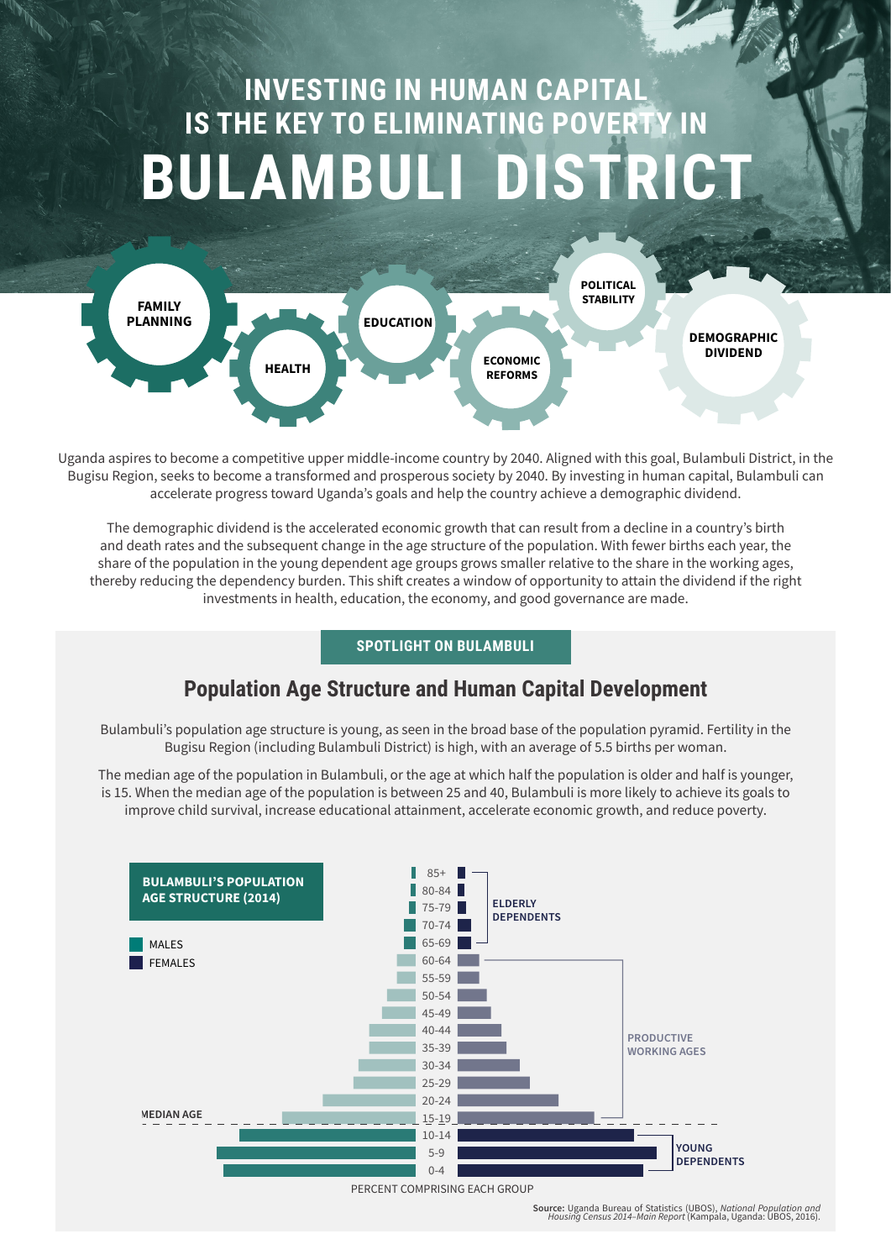# **INVESTING IN HUMAN CAPITAL IS THE KEY TO ELIMINATING POVERTY IN BULAMBULI DISTRICT**



Uganda aspires to become a competitive upper middle-income country by 2040. Aligned with this goal, Bulambuli District, in the Bugisu Region, seeks to become a transformed and prosperous society by 2040. By investing in human capital, Bulambuli can accelerate progress toward Uganda's goals and help the country achieve a demographic dividend.

The demographic dividend is the accelerated economic growth that can result from a decline in a country's birth and death rates and the subsequent change in the age structure of the population. With fewer births each year, the share of the population in the young dependent age groups grows smaller relative to the share in the working ages, thereby reducing the dependency burden. This shift creates a window of opportunity to attain the dividend if the right investments in health, education, the economy, and good governance are made.

## **SPOTLIGHT ON BULAMBULI**

# **Population Age Structure and Human Capital Development**

Bulambuli's population age structure is young, as seen in the broad base of the population pyramid. Fertility in the Bugisu Region (including Bulambuli District) is high, with an average of 5.5 births per woman.

The median age of the population in Bulambuli, or the age at which half the population is older and half is younger, is 15. When the median age of the population is between 25 and 40, Bulambuli is more likely to achieve its goals to improve child survival, increase educational attainment, accelerate economic growth, and reduce poverty.



**Source:** Uganda Bureau of Statistics (UBOS), *National Population and Housing Census 2014–Main Report* (Kampala, Uganda: UBOS, 2016).